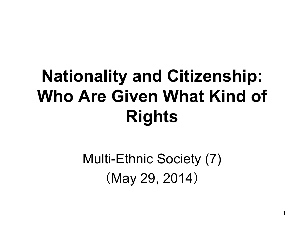#### **Nationality and Citizenship: Who Are Given What Kind of Rights**

Multi-Ethnic Society (7) (May 29, 2014)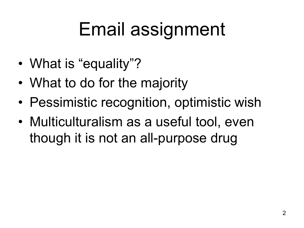# Email assignment

- What is "equality"?
- What to do for the majority
- Pessimistic recognition, optimistic wish
- Multiculturalism as a useful tool, even though it is not an all-purpose drug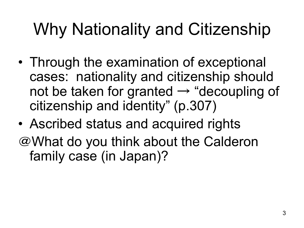#### Why Nationality and Citizenship

- Through the examination of exceptional cases: nationality and citizenship should not be taken for granted  $\rightarrow$  "decoupling of citizenship and identity" (p.307)
- Ascribed status and acquired rights @What do you think about the Calderon family case (in Japan)?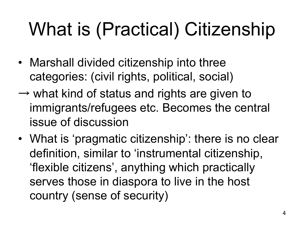# What is (Practical) Citizenship

- Marshall divided citizenship into three categories: (civil rights, political, social)
- $\rightarrow$  what kind of status and rights are given to immigrants/refugees etc. Becomes the central issue of discussion
- What is 'pragmatic citizenship': there is no clear definition, similar to 'instrumental citizenship, 'flexible citizens', anything which practically serves those in diaspora to live in the host country (sense of security)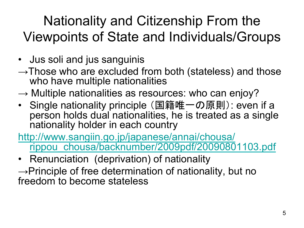#### Nationality and Citizenship From the Viewpoints of State and Individuals/Groups

- Jus soli and jus sanguinis
- $\rightarrow$ Those who are excluded from both (stateless) and those who have multiple nationalities
- $\rightarrow$  Multiple nationalities as resources: who can enjoy?
- Single nationality principle (国籍唯一の原則): even if a person holds dual nationalities, he is treated as a single nationality holder in each country
- http://www.sangiin.go.jp/japanese/annai/chousa/ rippou\_chousa/backnumber/2009pdf/20090801103.pdf
- Renunciation (deprivation) of nationality
- $\rightarrow$ Principle of free determination of nationality, but no freedom to become stateless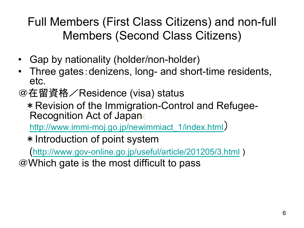Full Members (First Class Citizens) and non-full Members (Second Class Citizens)

- Gap by nationality (holder/non-holder)
- Three gates:denizens, long- and short-time residents, etc.
- @在留資格/Residence (visa) status
	- \*Revision of the Immigration-Control and Refugee-Recognition Act of Japan

http://www.immi-moj.go.jp/newimmiact\_1/index.html)

\*Introduction of point system

(http://www.gov-online.go.jp/useful/article/201205/3.html )

@Which gate is the most difficult to pass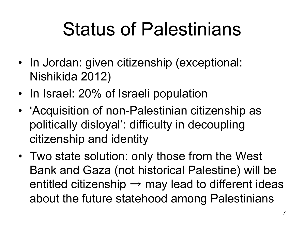## Status of Palestinians

- In Jordan: given citizenship (exceptional: Nishikida 2012)
- In Israel: 20% of Israeli population
- 'Acquisition of non-Palestinian citizenship as politically disloyal': difficulty in decoupling citizenship and identity
- Two state solution: only those from the West Bank and Gaza (not historical Palestine) will be entitled citizenship  $\rightarrow$  may lead to different ideas about the future statehood among Palestinians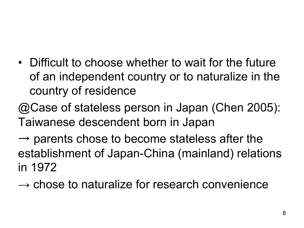- Difficult to choose whether to wait for the future of an independent country or to naturalize in the country of residence
- @Case of stateless person in Japan (Chen 2005): Taiwanese descendent born in Japan
- $\rightarrow$  parents chose to become stateless after the establishment of Japan-China (mainland) relations in 1972
- $\rightarrow$  chose to naturalize for research convenience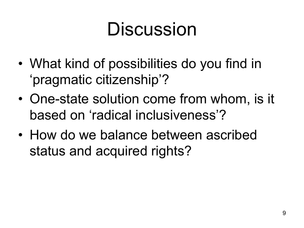### **Discussion**

- What kind of possibilities do you find in 'pragmatic citizenship'?
- One-state solution come from whom, is it based on 'radical inclusiveness'?
- How do we balance between ascribed status and acquired rights?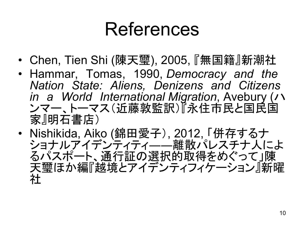#### References

- Chen, Tien Shi (陳天璽), 2005, 『無国籍』新潮社
- Hammar, Tomas, 1990, *Democracy and the Nation State: Aliens, Denizens and Citizens in a World International Migration*, Avebury (ハ ンマー、トーマス(近藤敦監訳)『永住市民と国民国 家』明石書店)
- Nishikida, Aiko (錦田愛子), 2012, 「併存するナ ショナルアイデンティティ――離散パレスチナ人によ るパスポート、通行証の選択的取得をめぐって」陳 天璽ほか編『越境とアイデンティフィケーション』新曜 社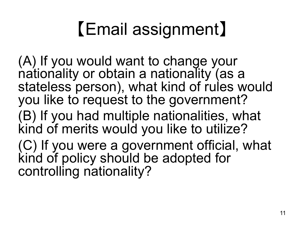## 【Email assignment】

(A) If you would want to change your nationality or obtain a nationality (as a stateless person), what kind of rules would you like to request to the government? (B) If you had multiple nationalities, what kind of merits would you like to utilize? (C) If you were a government official, what kind of policy should be adopted for controlling nationality?